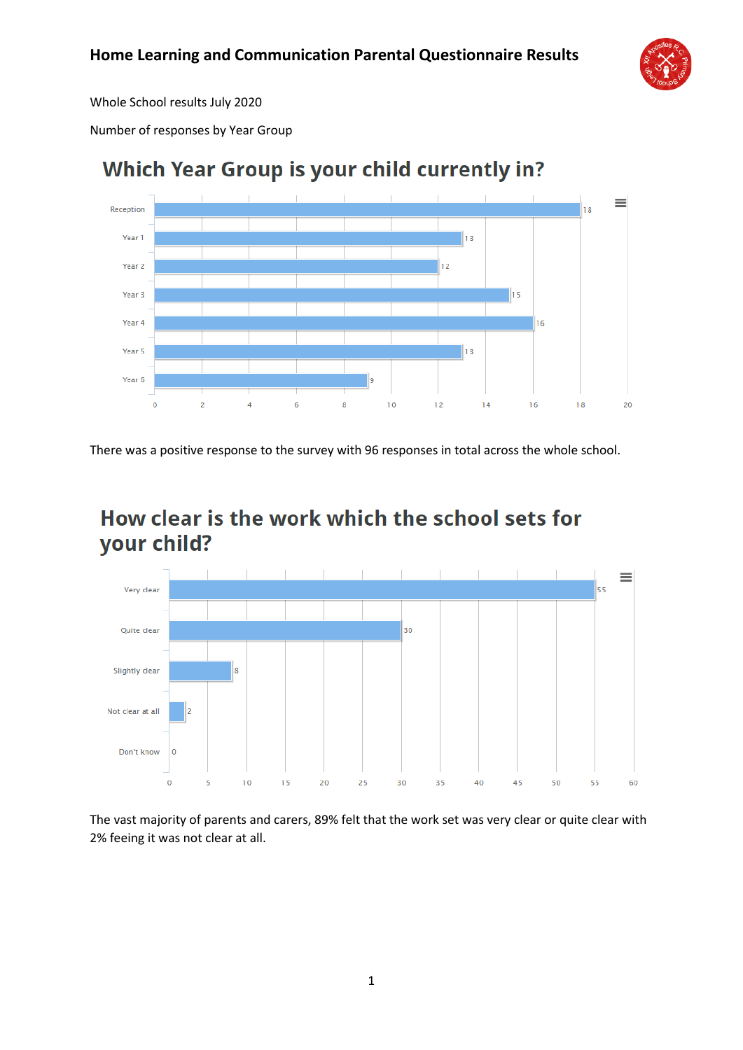

Whole School results July 2020

Number of responses by Year Group



# **Which Year Group is your child currently in?**

There was a positive response to the survey with 96 responses in total across the whole school.

## How clear is the work which the school sets for your child?



The vast majority of parents and carers, 89% felt that the work set was very clear or quite clear with 2% feeing it was not clear at all.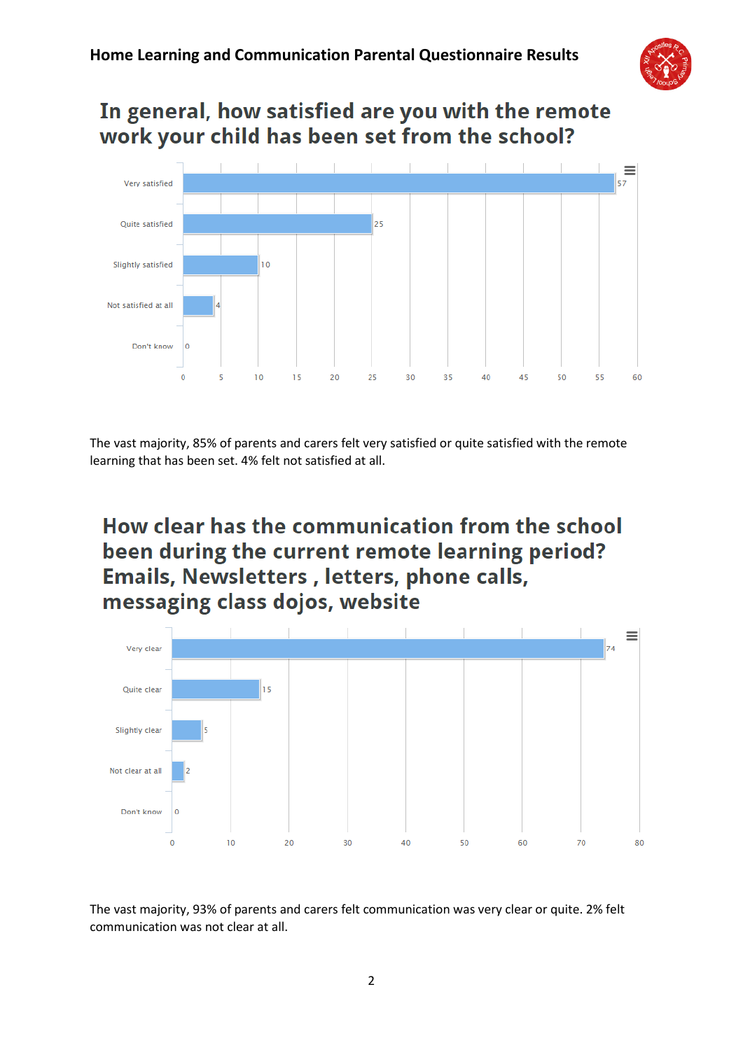

## In general, how satisfied are you with the remote work your child has been set from the school?



The vast majority, 85% of parents and carers felt very satisfied or quite satisfied with the remote learning that has been set. 4% felt not satisfied at all.

# How clear has the communication from the school been during the current remote learning period? Emails, Newsletters, letters, phone calls, messaging class dojos, website



The vast majority, 93% of parents and carers felt communication was very clear or quite. 2% felt communication was not clear at all.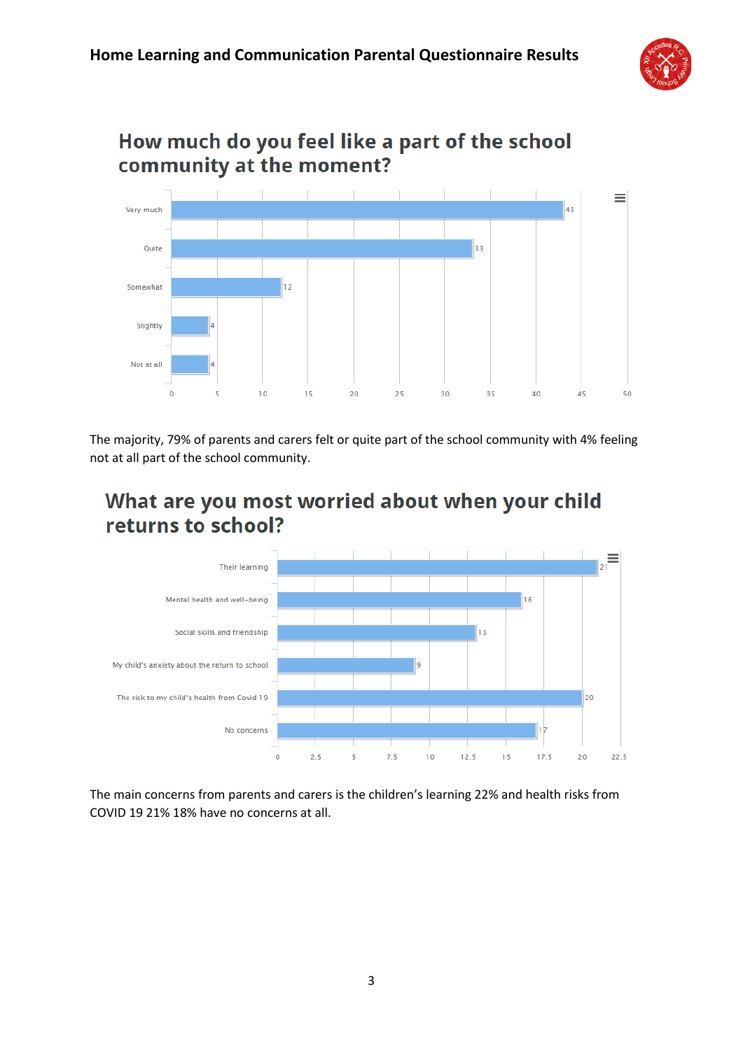

### How much do you feel like a part of the school community at the moment?



The majority, 79% of parents and carers felt or quite part of the school community with 4% feeling not at all part of the school community.

### What are you most worried about when your child returns to school?



The main concerns from parents and carers is the children's learning 22% and health risks from COVID 19 21% 18% have no concerns at all.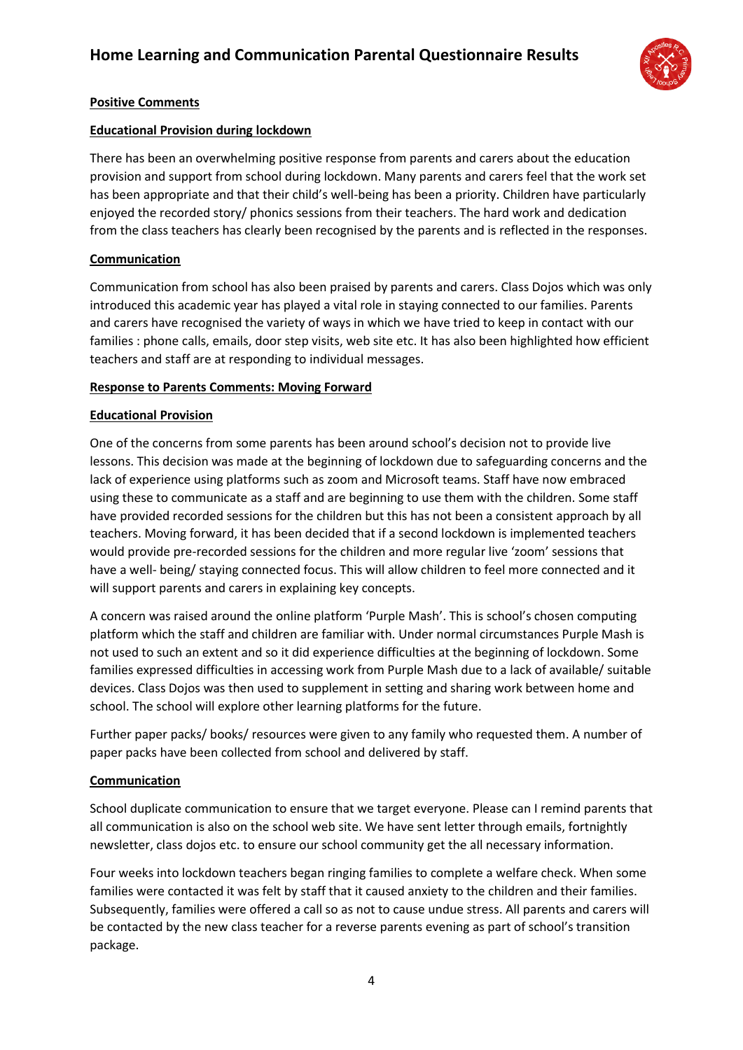

#### **Positive Comments**

#### **Educational Provision during lockdown**

There has been an overwhelming positive response from parents and carers about the education provision and support from school during lockdown. Many parents and carers feel that the work set has been appropriate and that their child's well-being has been a priority. Children have particularly enjoyed the recorded story/ phonics sessions from their teachers. The hard work and dedication from the class teachers has clearly been recognised by the parents and is reflected in the responses.

#### **Communication**

Communication from school has also been praised by parents and carers. Class Dojos which was only introduced this academic year has played a vital role in staying connected to our families. Parents and carers have recognised the variety of ways in which we have tried to keep in contact with our families : phone calls, emails, door step visits, web site etc. It has also been highlighted how efficient teachers and staff are at responding to individual messages.

#### **Response to Parents Comments: Moving Forward**

#### **Educational Provision**

One of the concerns from some parents has been around school's decision not to provide live lessons. This decision was made at the beginning of lockdown due to safeguarding concerns and the lack of experience using platforms such as zoom and Microsoft teams. Staff have now embraced using these to communicate as a staff and are beginning to use them with the children. Some staff have provided recorded sessions for the children but this has not been a consistent approach by all teachers. Moving forward, it has been decided that if a second lockdown is implemented teachers would provide pre-recorded sessions for the children and more regular live 'zoom' sessions that have a well- being/ staying connected focus. This will allow children to feel more connected and it will support parents and carers in explaining key concepts.

A concern was raised around the online platform 'Purple Mash'. This is school's chosen computing platform which the staff and children are familiar with. Under normal circumstances Purple Mash is not used to such an extent and so it did experience difficulties at the beginning of lockdown. Some families expressed difficulties in accessing work from Purple Mash due to a lack of available/ suitable devices. Class Dojos was then used to supplement in setting and sharing work between home and school. The school will explore other learning platforms for the future.

Further paper packs/ books/ resources were given to any family who requested them. A number of paper packs have been collected from school and delivered by staff.

#### **Communication**

School duplicate communication to ensure that we target everyone. Please can I remind parents that all communication is also on the school web site. We have sent letter through emails, fortnightly newsletter, class dojos etc. to ensure our school community get the all necessary information.

Four weeks into lockdown teachers began ringing families to complete a welfare check. When some families were contacted it was felt by staff that it caused anxiety to the children and their families. Subsequently, families were offered a call so as not to cause undue stress. All parents and carers will be contacted by the new class teacher for a reverse parents evening as part of school's transition package.